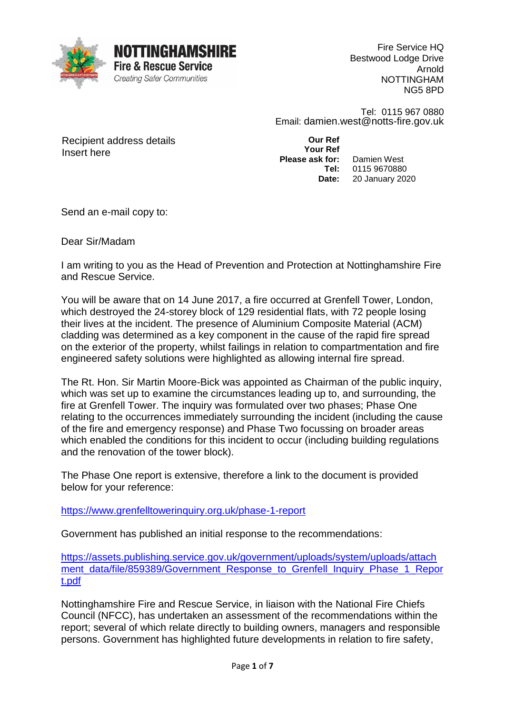

Fire Service HQ Bestwood Lodge Drive Arnold NOTTINGHAM NG5 8PD

Tel: 0115 967 0880 Email: damien.west@notts-fire.gov.uk

Recipient address details Insert here

**Our Ref Your Ref Please ask for: Tel: Date:** Damien West 0115 9670880 20 January 2020

Send an e-mail copy to:

Dear Sir/Madam

I am writing to you as the Head of Prevention and Protection at Nottinghamshire Fire and Rescue Service.

You will be aware that on 14 June 2017, a fire occurred at Grenfell Tower, London, which destroyed the 24-storey block of 129 residential flats, with 72 people losing their lives at the incident. The presence of Aluminium Composite Material (ACM) cladding was determined as a key component in the cause of the rapid fire spread on the exterior of the property, whilst failings in relation to compartmentation and fire engineered safety solutions were highlighted as allowing internal fire spread.

The Rt. Hon. Sir Martin Moore-Bick was appointed as Chairman of the public inquiry, which was set up to examine the circumstances leading up to, and surrounding, the fire at Grenfell Tower. The inquiry was formulated over two phases; Phase One relating to the occurrences immediately surrounding the incident (including the cause of the fire and emergency response) and Phase Two focussing on broader areas which enabled the conditions for this incident to occur (including building regulations and the renovation of the tower block).

The Phase One report is extensive, therefore a link to the document is provided below for your reference:

<https://www.grenfelltowerinquiry.org.uk/phase-1-report>

Government has published an initial response to the recommendations:

[https://assets.publishing.service.gov.uk/government/uploads/system/uploads/attach](https://assets.publishing.service.gov.uk/government/uploads/system/uploads/attachment_data/file/859389/Government_Response_to_Grenfell_Inquiry_Phase_1_Report.pdf) ment data/file/859389/Government Response to Grenfell Inquiry Phase 1 Repor [t.pdf](https://assets.publishing.service.gov.uk/government/uploads/system/uploads/attachment_data/file/859389/Government_Response_to_Grenfell_Inquiry_Phase_1_Report.pdf)

Nottinghamshire Fire and Rescue Service, in liaison with the National Fire Chiefs Council (NFCC), has undertaken an assessment of the recommendations within the report; several of which relate directly to building owners, managers and responsible persons. Government has highlighted future developments in relation to fire safety,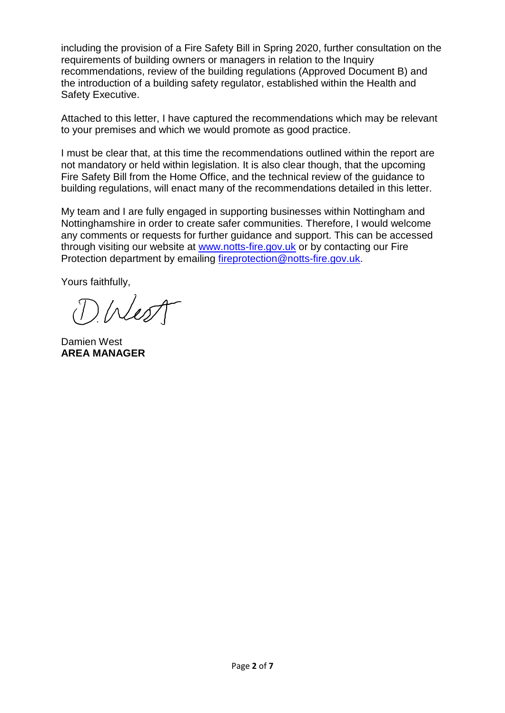including the provision of a Fire Safety Bill in Spring 2020, further consultation on the requirements of building owners or managers in relation to the Inquiry recommendations, review of the building regulations (Approved Document B) and the introduction of a building safety regulator, established within the Health and Safety Executive.

Attached to this letter, I have captured the recommendations which may be relevant to your premises and which we would promote as good practice.

I must be clear that, at this time the recommendations outlined within the report are not mandatory or held within legislation. It is also clear though, that the upcoming Fire Safety Bill from the Home Office, and the technical review of the guidance to building regulations, will enact many of the recommendations detailed in this letter.

My team and I are fully engaged in supporting businesses within Nottingham and Nottinghamshire in order to create safer communities. Therefore, I would welcome any comments or requests for further guidance and support. This can be accessed through visiting our website at [www.notts-fire.gov.uk](http://www.notts-fire.gov.uk/) or by contacting our Fire Protection department by emailing [fireprotection@notts-fire.gov.uk.](mailto:fireprotection@notts-fire.gov.uk)

Yours faithfully,

DINest

Damien West **AREA MANAGER**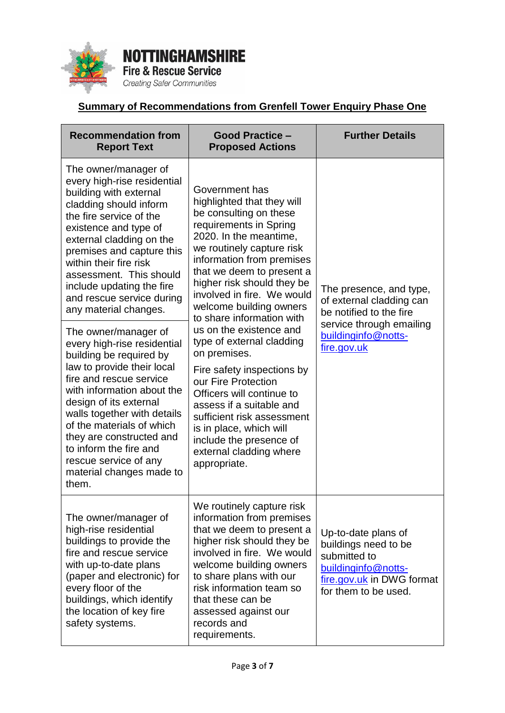

**NOTTINGHAMSHIRE Fire & Rescue Service Creating Safer Communities** 

## **Summary of Recommendations from Grenfell Tower Enquiry Phase One**

| <b>Recommendation from</b><br><b>Report Text</b>                                                                                                                                                                                                                                                                                                                                | <b>Good Practice -</b><br><b>Proposed Actions</b>                                                                                                                                                                                                                                                                                                                                                                                                                                                                                                                                                                                                          | <b>Further Details</b>                                                                                                                  |
|---------------------------------------------------------------------------------------------------------------------------------------------------------------------------------------------------------------------------------------------------------------------------------------------------------------------------------------------------------------------------------|------------------------------------------------------------------------------------------------------------------------------------------------------------------------------------------------------------------------------------------------------------------------------------------------------------------------------------------------------------------------------------------------------------------------------------------------------------------------------------------------------------------------------------------------------------------------------------------------------------------------------------------------------------|-----------------------------------------------------------------------------------------------------------------------------------------|
| The owner/manager of<br>every high-rise residential<br>building with external<br>cladding should inform<br>the fire service of the<br>existence and type of<br>external cladding on the<br>premises and capture this<br>within their fire risk<br>assessment. This should<br>include updating the fire<br>and rescue service during<br>any material changes.                    | Government has<br>highlighted that they will<br>be consulting on these<br>requirements in Spring<br>2020. In the meantime,<br>we routinely capture risk<br>information from premises<br>that we deem to present a<br>higher risk should they be<br>involved in fire. We would<br>welcome building owners<br>to share information with<br>us on the existence and<br>type of external cladding<br>on premises.<br>Fire safety inspections by<br>our Fire Protection<br>Officers will continue to<br>assess if a suitable and<br>sufficient risk assessment<br>is in place, which will<br>include the presence of<br>external cladding where<br>appropriate. | The presence, and type,<br>of external cladding can<br>be notified to the fire                                                          |
| The owner/manager of<br>every high-rise residential<br>building be required by<br>law to provide their local<br>fire and rescue service<br>with information about the<br>design of its external<br>walls together with details<br>of the materials of which<br>they are constructed and<br>to inform the fire and<br>rescue service of any<br>material changes made to<br>them. |                                                                                                                                                                                                                                                                                                                                                                                                                                                                                                                                                                                                                                                            | service through emailing<br>buildinginfo@notts-<br>fire.gov.uk                                                                          |
| The owner/manager of<br>high-rise residential<br>buildings to provide the<br>fire and rescue service<br>with up-to-date plans<br>(paper and electronic) for<br>every floor of the<br>buildings, which identify<br>the location of key fire<br>safety systems.                                                                                                                   | We routinely capture risk<br>information from premises<br>that we deem to present a<br>higher risk should they be<br>involved in fire. We would<br>welcome building owners<br>to share plans with our<br>risk information team so<br>that these can be<br>assessed against our<br>records and<br>requirements.                                                                                                                                                                                                                                                                                                                                             | Up-to-date plans of<br>buildings need to be<br>submitted to<br>buildinginfo@notts-<br>fire.gov.uk in DWG format<br>for them to be used. |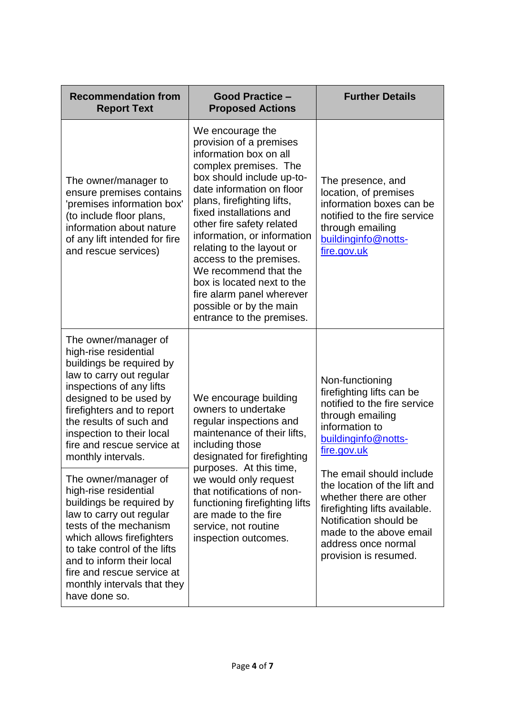| <b>Recommendation from</b><br><b>Report Text</b>                                                                                                                                                                                                                                                        | <b>Good Practice -</b><br><b>Proposed Actions</b>                                                                                                                                                                                                                                                                                                                                                                                                                                 | <b>Further Details</b>                                                                                                                                                                                                    |
|---------------------------------------------------------------------------------------------------------------------------------------------------------------------------------------------------------------------------------------------------------------------------------------------------------|-----------------------------------------------------------------------------------------------------------------------------------------------------------------------------------------------------------------------------------------------------------------------------------------------------------------------------------------------------------------------------------------------------------------------------------------------------------------------------------|---------------------------------------------------------------------------------------------------------------------------------------------------------------------------------------------------------------------------|
| The owner/manager to<br>ensure premises contains<br>'premises information box'<br>(to include floor plans,<br>information about nature<br>of any lift intended for fire<br>and rescue services)                                                                                                         | We encourage the<br>provision of a premises<br>information box on all<br>complex premises. The<br>box should include up-to-<br>date information on floor<br>plans, firefighting lifts,<br>fixed installations and<br>other fire safety related<br>information, or information<br>relating to the layout or<br>access to the premises.<br>We recommend that the<br>box is located next to the<br>fire alarm panel wherever<br>possible or by the main<br>entrance to the premises. | The presence, and<br>location, of premises<br>information boxes can be<br>notified to the fire service<br>through emailing<br>buildinginfo@notts-<br>fire.gov.uk                                                          |
| The owner/manager of<br>high-rise residential<br>buildings be required by<br>law to carry out regular<br>inspections of any lifts<br>designed to be used by<br>firefighters and to report<br>the results of such and<br>inspection to their local<br>fire and rescue service at<br>monthly intervals.   | We encourage building<br>owners to undertake<br>regular inspections and<br>maintenance of their lifts,<br>including those<br>designated for firefighting<br>purposes. At this time,<br>we would only request<br>that notifications of non-<br>functioning firefighting lifts<br>are made to the fire<br>service, not routine<br>inspection outcomes.                                                                                                                              | Non-functioning<br>firefighting lifts can be<br>notified to the fire service<br>through emailing<br>information to<br>buildinginfo@notts-<br>fire.gov.uk                                                                  |
| The owner/manager of<br>high-rise residential<br>buildings be required by<br>law to carry out regular<br>tests of the mechanism<br>which allows firefighters<br>to take control of the lifts<br>and to inform their local<br>fire and rescue service at<br>monthly intervals that they<br>have done so. |                                                                                                                                                                                                                                                                                                                                                                                                                                                                                   | The email should include<br>the location of the lift and<br>whether there are other<br>firefighting lifts available.<br>Notification should be<br>made to the above email<br>address once normal<br>provision is resumed. |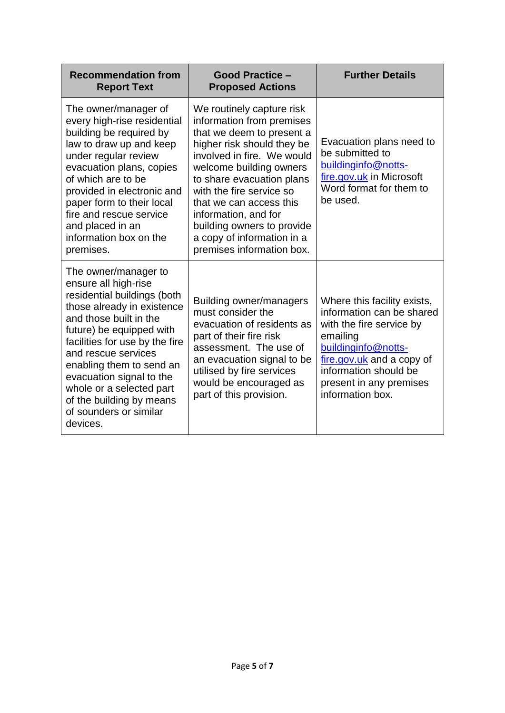| <b>Recommendation from</b><br><b>Report Text</b>                                                                                                                                                                                                                                                                                                                               | <b>Good Practice -</b><br><b>Proposed Actions</b>                                                                                                                                                                                                                                                                                                                               | <b>Further Details</b>                                                                                                                                                                                                       |
|--------------------------------------------------------------------------------------------------------------------------------------------------------------------------------------------------------------------------------------------------------------------------------------------------------------------------------------------------------------------------------|---------------------------------------------------------------------------------------------------------------------------------------------------------------------------------------------------------------------------------------------------------------------------------------------------------------------------------------------------------------------------------|------------------------------------------------------------------------------------------------------------------------------------------------------------------------------------------------------------------------------|
| The owner/manager of<br>every high-rise residential<br>building be required by<br>law to draw up and keep<br>under regular review<br>evacuation plans, copies<br>of which are to be<br>provided in electronic and<br>paper form to their local<br>fire and rescue service<br>and placed in an<br>information box on the<br>premises.                                           | We routinely capture risk<br>information from premises<br>that we deem to present a<br>higher risk should they be<br>involved in fire. We would<br>welcome building owners<br>to share evacuation plans<br>with the fire service so<br>that we can access this<br>information, and for<br>building owners to provide<br>a copy of information in a<br>premises information box. | Evacuation plans need to<br>be submitted to<br>buildinginfo@notts-<br>fire.gov.uk in Microsoft<br>Word format for them to<br>be used.                                                                                        |
| The owner/manager to<br>ensure all high-rise<br>residential buildings (both<br>those already in existence<br>and those built in the<br>future) be equipped with<br>facilities for use by the fire<br>and rescue services<br>enabling them to send an<br>evacuation signal to the<br>whole or a selected part<br>of the building by means<br>of sounders or similar<br>devices. | Building owner/managers<br>must consider the<br>evacuation of residents as<br>part of their fire risk<br>assessment. The use of<br>an evacuation signal to be<br>utilised by fire services<br>would be encouraged as<br>part of this provision.                                                                                                                                 | Where this facility exists,<br>information can be shared<br>with the fire service by<br>emailing<br>buildinginfo@notts-<br>fire.gov.uk and a copy of<br>information should be<br>present in any premises<br>information box. |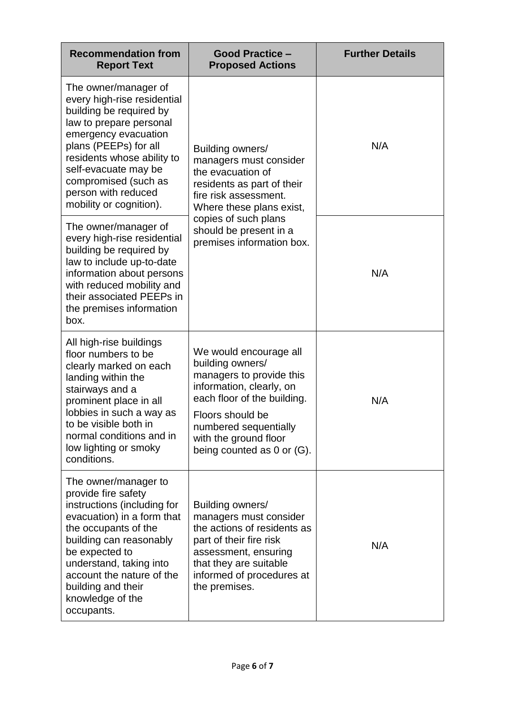| <b>Recommendation from</b><br><b>Report Text</b>                                                                                                                                                                                                                                              | <b>Good Practice -</b><br><b>Proposed Actions</b>                                                                                                                                                                                     | <b>Further Details</b> |
|-----------------------------------------------------------------------------------------------------------------------------------------------------------------------------------------------------------------------------------------------------------------------------------------------|---------------------------------------------------------------------------------------------------------------------------------------------------------------------------------------------------------------------------------------|------------------------|
| The owner/manager of<br>every high-rise residential<br>building be required by<br>law to prepare personal<br>emergency evacuation<br>plans (PEEPs) for all<br>residents whose ability to<br>self-evacuate may be<br>compromised (such as<br>person with reduced<br>mobility or cognition).    | Building owners/<br>managers must consider<br>the evacuation of<br>residents as part of their<br>fire risk assessment.<br>Where these plans exist,<br>copies of such plans<br>should be present in a<br>premises information box.     | N/A                    |
| The owner/manager of<br>every high-rise residential<br>building be required by<br>law to include up-to-date<br>information about persons<br>with reduced mobility and<br>their associated PEEPs in<br>the premises information<br>box.                                                        |                                                                                                                                                                                                                                       | N/A                    |
| All high-rise buildings<br>floor numbers to be<br>clearly marked on each<br>landing within the<br>stairways and a<br>prominent place in all<br>lobbies in such a way as<br>to be visible both in<br>normal conditions and in<br>low lighting or smoky<br>conditions.                          | We would encourage all<br>building owners/<br>managers to provide this<br>information, clearly, on<br>each floor of the building.<br>Floors should be<br>numbered sequentially<br>with the ground floor<br>being counted as 0 or (G). | N/A                    |
| The owner/manager to<br>provide fire safety<br>instructions (including for<br>evacuation) in a form that<br>the occupants of the<br>building can reasonably<br>be expected to<br>understand, taking into<br>account the nature of the<br>building and their<br>knowledge of the<br>occupants. | Building owners/<br>managers must consider<br>the actions of residents as<br>part of their fire risk<br>assessment, ensuring<br>that they are suitable<br>informed of procedures at<br>the premises.                                  | N/A                    |